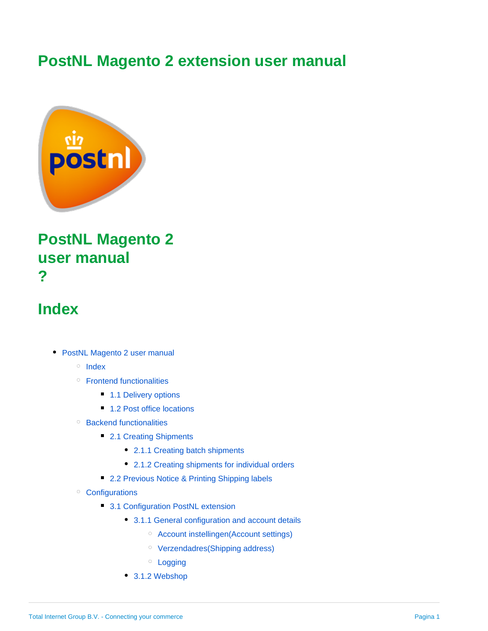# **PostNL Magento 2 extension user manual**



# <span id="page-0-0"></span>**PostNL Magento 2 user manual ?**

## <span id="page-0-1"></span>**Index**

- [PostNL Magento 2 user manual](#page-0-0)
	- $\circ$  [Index](#page-0-1)
	- <sup>o</sup> [Frontend functionalities](#page-1-0)
		- [1.1 Delivery options](#page-1-1)
		- [1.2 Post office locations](#page-1-2)
	- [Backend functionalities](#page-5-0)
		- [2.1 Creating Shipments](#page-5-1)
			- [2.1.1 Creating batch shipments](#page-5-2)
			- [2.1.2 Creating shipments for individual orders](#page-5-3)
		- **[2.2 Previous Notice & Printing Shipping labels](#page-6-0)**
	- <sup>o</sup> [Configurations](#page-7-0)
		- [3.1 Configuration PostNL extension](#page-7-1)
			- [3.1.1 General configuration and account details](#page-7-2)
				- [Account instellingen\(Account settings\)](#page-7-3)
				- [Verzendadres\(Shipping address\)](#page-7-4)
				- <sup>o</sup> [Logging](#page-7-5)
			- [3.1.2 Webshop](#page-7-6)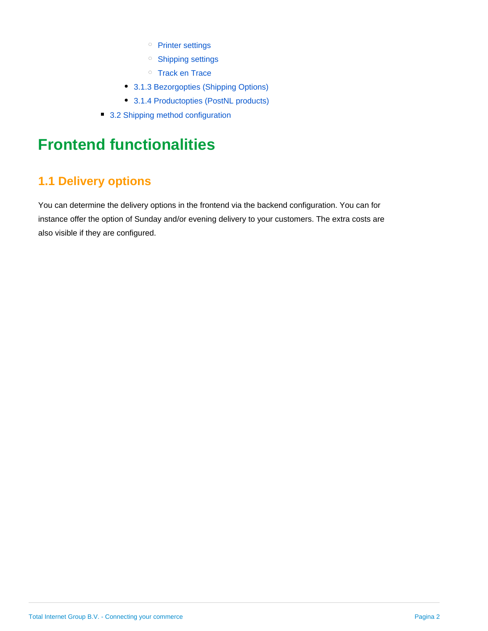- o [Printer settings](#page-7-7)
- <sup>o</sup> [Shipping settings](#page-8-0)
- o [Track en Trace](#page-8-1)
- [3.1.3 Bezorgopties \(Shipping Options\)](#page-8-2)
- [3.1.4 Productopties \(PostNL products\)](#page-8-3)
- [3.2 Shipping method configuration](#page-8-4)

# <span id="page-1-0"></span>**Frontend functionalities**

## <span id="page-1-1"></span>**1.1 Delivery options**

<span id="page-1-2"></span>You can determine the delivery options in the frontend via the backend configuration. You can for instance offer the option of Sunday and/or evening delivery to your customers. The extra costs are also visible if they are configured.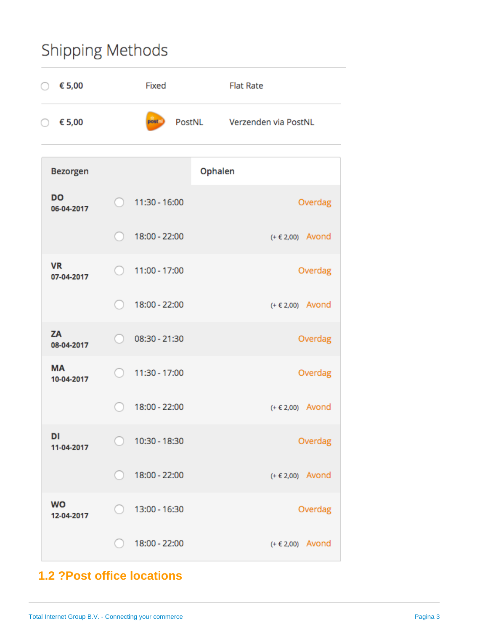# **Shipping Methods**



## **1.2 ?Post office locations**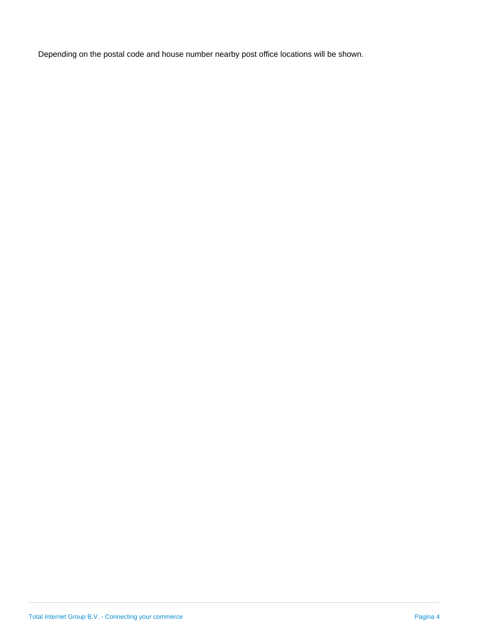Depending on the postal code and house number nearby post office locations will be shown.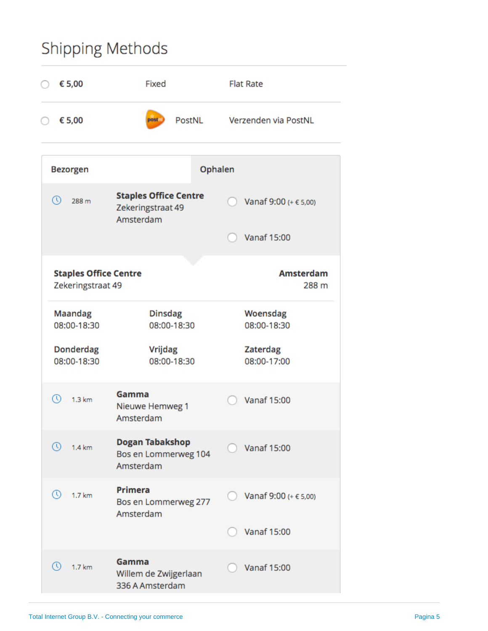# **Shipping Methods**

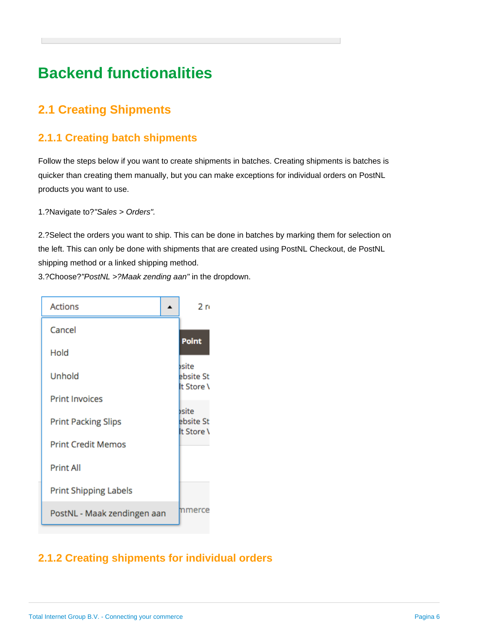# <span id="page-5-0"></span>**Backend functionalities**

## <span id="page-5-1"></span>**2.1 Creating Shipments**

## <span id="page-5-2"></span>**2.1.1 Creating batch shipments**

Follow the steps below if you want to create shipments in batches. Creating shipments is batches is quicker than creating them manually, but you can make exceptions for individual orders on PostNL products you want to use.

1.?Navigate to?"Sales > Orders".

2.?Select the orders you want to ship. This can be done in batches by marking them for selection on the left. This can only be done with shipments that are created using PostNL Checkout, de PostNL shipping method or a linked shipping method.

3.?Choose?"PostNL >?Maak zending aan" in the dropdown.



## <span id="page-5-3"></span>**2.1.2 Creating shipments for individual orders**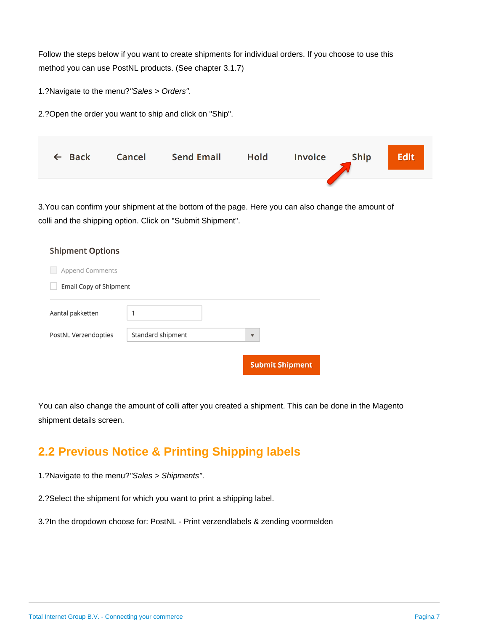Follow the steps below if you want to create shipments for individual orders. If you choose to use this method you can use PostNL products. (See chapter 3.1.7)

1.?Navigate to the menu?"Sales > Orders".

2.?Open the order you want to ship and click on "Ship".

|  | ← Back Cancel Send Email Hold Invoice Ship |  | <b>Edit</b> |
|--|--------------------------------------------|--|-------------|
|  |                                            |  |             |

3.You can confirm your shipment at the bottom of the page. Here you can also change the amount of colli and the shipping option. Click on "Submit Shipment".

| <b>Shipment Options</b> |                   |                         |  |  |  |  |
|-------------------------|-------------------|-------------------------|--|--|--|--|
| <b>Append Comments</b>  |                   |                         |  |  |  |  |
| Email Copy of Shipment  |                   |                         |  |  |  |  |
| Aantal pakketten        | 1                 |                         |  |  |  |  |
| PostNL Verzendopties    | Standard shipment | $\overline{\mathbf{v}}$ |  |  |  |  |
|                         |                   |                         |  |  |  |  |
|                         |                   | <b>Submit Shipment</b>  |  |  |  |  |

You can also change the amount of colli after you created a shipment. This can be done in the Magento shipment details screen.

## <span id="page-6-0"></span>**2.2 Previous Notice & Printing Shipping labels**

1.?Navigate to the menu?"Sales > Shipments".

2.?Select the shipment for which you want to print a shipping label.

3.?In the dropdown choose for: PostNL - Print verzendlabels & zending voormelden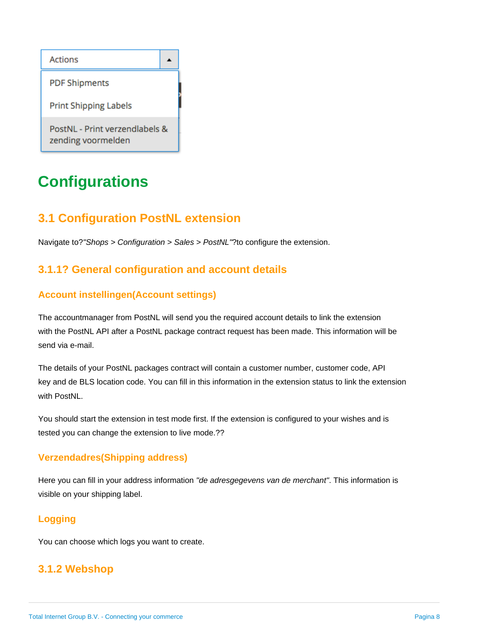

# <span id="page-7-0"></span>**Configurations**

## <span id="page-7-1"></span>**3.1 Configuration PostNL extension**

Navigate to?"Shops > Configuration > Sales > PostNL"?to configure the extension.

### <span id="page-7-2"></span>**3.1.1? General configuration and account details**

#### <span id="page-7-3"></span>**Account instellingen(Account settings)**

The accountmanager from PostNL will send you the required account details to link the extension with the PostNL API after a PostNL package contract request has been made. This information will be send via e-mail.

The details of your PostNL packages contract will contain a customer number, customer code, API key and de BLS location code. You can fill in this information in the extension status to link the extension with PostNL.

You should start the extension in test mode first. If the extension is configured to your wishes and is tested you can change the extension to live mode.??

#### <span id="page-7-4"></span>**Verzendadres(Shipping address)**

Here you can fill in your address information "de adresgegevens van de merchant". This information is visible on your shipping label.

### <span id="page-7-5"></span>**Logging**

You can choose which logs you want to create.

### <span id="page-7-7"></span><span id="page-7-6"></span>**3.1.2 Webshop**